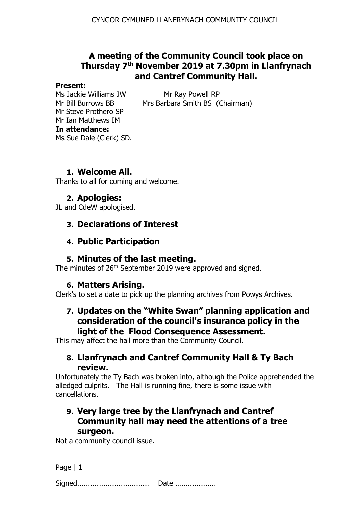# **A meeting of the Community Council took place on Thursday 7th November 2019 at 7.30pm in Llanfrynach and Cantref Community Hall.**

#### **Present:**

Mr Bill Burrows BB Mrs Barbara Smith BS (Chairman)

Ms Jackie Williams JW Mr Ray Powell RP Mr Steve Prothero SP Mr Ian Matthews IM **In attendance:** Ms Sue Dale (Clerk) SD.

# **1. Welcome All.**

Thanks to all for coming and welcome.

# **2. Apologies:**

JL and CdeW apologised.

# **3. Declarations of Interest**

### **4. Public Participation**

### **5. Minutes of the last meeting.**

The minutes of 26<sup>th</sup> September 2019 were approved and signed.

### **6. Matters Arising.**

Clerk's to set a date to pick up the planning archives from Powys Archives.

## **7. Updates on the "White Swan" planning application and consideration of the council's insurance policy in the light of the Flood Consequence Assessment.**

This may affect the hall more than the Community Council.

### **8. Llanfrynach and Cantref Community Hall & Ty Bach review.**

Unfortunately the Ty Bach was broken into, although the Police apprehended the alledged culprits. The Hall is running fine, there is some issue with cancellations.

#### **9. Very large tree by the Llanfrynach and Cantref Community hall may need the attentions of a tree surgeon.**

Not a community council issue.

Page | 1

Signed................................. Date …................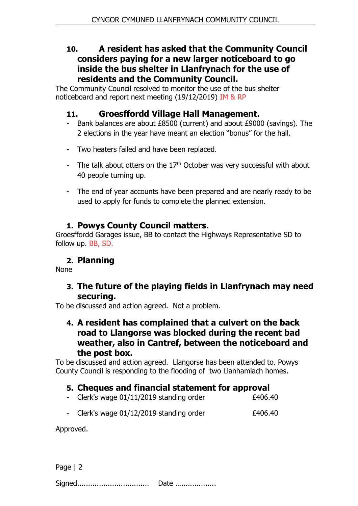### **10. A resident has asked that the Community Council considers paying for a new larger noticeboard to go inside the bus shelter in Llanfrynach for the use of residents and the Community Council.**

The Community Council resolved to monitor the use of the bus shelter noticeboard and report next meeting (19/12/2019) IM & RP

### **11. Groesffordd Village Hall Management.**

- Bank balances are about £8500 (current) and about £9000 (savings). The 2 elections in the year have meant an election "bonus" for the hall.
- Two heaters failed and have been replaced.
- The talk about otters on the  $17<sup>th</sup>$  October was very successful with about 40 people turning up.
- The end of year accounts have been prepared and are nearly ready to be used to apply for funds to complete the planned extension.

# **1. Powys County Council matters.**

Groesffordd Garages issue, BB to contact the Highways Representative SD to follow up. BB, SD.

# **2. Planning**

None

# **3. The future of the playing fields in Llanfrynach may need securing.**

To be discussed and action agreed. Not a problem.

# **4. A resident has complained that a culvert on the back road to Llangorse was blocked during the recent bad weather, also in Cantref, between the noticeboard and the post box.**

To be discussed and action agreed. Llangorse has been attended to. Powys County Council is responding to the flooding of two Llanhamlach homes.

# **5. Cheques and financial statement for approval**

- Clerk's wage  $01/11/2019$  standing order  $£406.40$
- Clerk's wage  $01/12/2019$  standing order  $£406.40$

Approved.

Page | 2

Signed................................. Date …................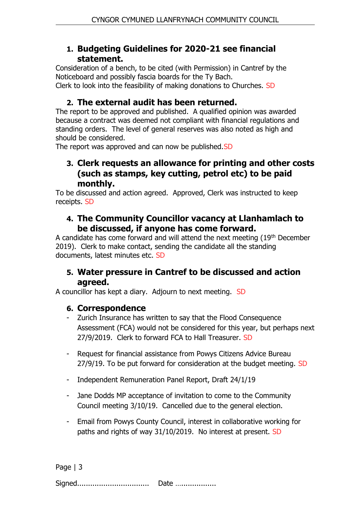# **1. Budgeting Guidelines for 2020-21 see financial statement.**

Consideration of a bench, to be cited (with Permission) in Cantref by the Noticeboard and possibly fascia boards for the Ty Bach. Clerk to look into the feasibility of making donations to Churches. SD

# **2. The external audit has been returned.**

The report to be approved and published. A qualified opinion was awarded because a contract was deemed not compliant with financial regulations and standing orders. The level of general reserves was also noted as high and should be considered.

The report was approved and can now be published.SD

# **3. Clerk requests an allowance for printing and other costs (such as stamps, key cutting, petrol etc) to be paid monthly.**

To be discussed and action agreed. Approved, Clerk was instructed to keep receipts. SD

# **4. The Community Councillor vacancy at Llanhamlach to be discussed, if anyone has come forward.**

A candidate has come forward and will attend the next meeting (19<sup>th</sup> December 2019). Clerk to make contact, sending the candidate all the standing documents, latest minutes etc. SD

# **5. Water pressure in Cantref to be discussed and action agreed.**

A councillor has kept a diary. Adjourn to next meeting. SD

# **6. Correspondence**

- Zurich Insurance has written to say that the Flood Consequence Assessment (FCA) would not be considered for this year, but perhaps next 27/9/2019. Clerk to forward FCA to Hall Treasurer. SD
- Request for financial assistance from Powys Citizens Advice Bureau 27/9/19. To be put forward for consideration at the budget meeting. SD
- Independent Remuneration Panel Report, Draft 24/1/19
- Jane Dodds MP acceptance of invitation to come to the Community Council meeting 3/10/19. Cancelled due to the general election.
- Email from Powys County Council, interest in collaborative working for paths and rights of way 31/10/2019. No interest at present. SD

Page | 3 Signed................................. Date …................